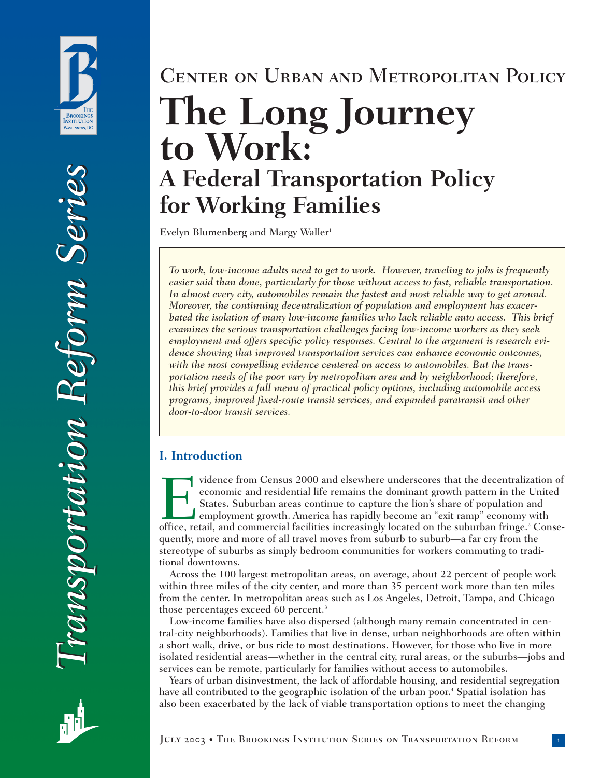

# Center on Urban and Metropolitan Policy **The Long Journey to Work: A Federal Transportation Policy for Working Families**

Evelyn Blumenberg and Margy Waller<sup>1</sup>

*To work, low-income adults need to get to work. However, traveling to jobs is frequently easier said than done, particularly for those without access to fast, reliable transportation. In almost every city, automobiles remain the fastest and most reliable way to get around. Moreover, the continuing decentralization of population and employment has exacerbated the isolation of many low-income families who lack reliable auto access. This brief examines the serious transportation challenges facing low-income workers as they seek employment and offers specific policy responses. Central to the argument is research evidence showing that improved transportation services can enhance economic outcomes, with the most compelling evidence centered on access to automobiles. But the transportation needs of the poor vary by metropolitan area and by neighborhood; therefore, this brief provides a full menu of practical policy options, including automobile access programs, improved fixed-route transit services, and expanded paratransit and other door-to-door transit services.*

# **I. Introduction**

Vidence from Census 2000 and elsewhere underscores that the decentralization of<br>economic and residential life remains the dominant growth pattern in the United<br>States. Suburban areas continue to capture the lion's share of economic and residential life remains the dominant growth pattern in the United States. Suburban areas continue to capture the lion's share of population and employment growth. America has rapidly become an "exit ramp" economy with quently, more and more of all travel moves from suburb to suburb—a far cry from the stereotype of suburbs as simply bedroom communities for workers commuting to traditional downtowns.

Across the 100 largest metropolitan areas, on average, about 22 percent of people work within three miles of the city center, and more than 35 percent work more than ten miles from the center. In metropolitan areas such as Los Angeles, Detroit, Tampa, and Chicago those percentages exceed 60 percent.<sup>3</sup>

Low-income families have also dispersed (although many remain concentrated in central-city neighborhoods). Families that live in dense, urban neighborhoods are often within a short walk, drive, or bus ride to most destinations. However, for those who live in more isolated residential areas—whether in the central city, rural areas, or the suburbs—jobs and services can be remote, particularly for families without access to automobiles.

Years of urban disinvestment, the lack of affordable housing, and residential segregation have all contributed to the geographic isolation of the urban poor.<sup>4</sup> Spatial isolation has also been exacerbated by the lack of viable transportation options to meet the changing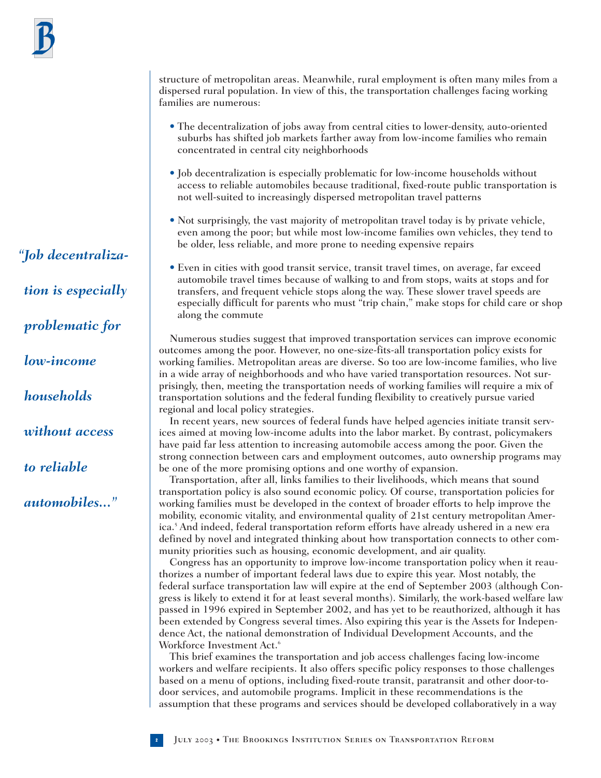*"Job decentralization is especially problematic for low-income households without access to reliable automobiles..."*

structure of metropolitan areas. Meanwhile, rural employment is often many miles from a dispersed rural population. In view of this, the transportation challenges facing working families are numerous:

- The decentralization of jobs away from central cities to lower-density, auto-oriented suburbs has shifted job markets farther away from low-income families who remain concentrated in central city neighborhoods
- Job decentralization is especially problematic for low-income households without access to reliable automobiles because traditional, fixed-route public transportation is not well-suited to increasingly dispersed metropolitan travel patterns
- Not surprisingly, the vast majority of metropolitan travel today is by private vehicle, even among the poor; but while most low-income families own vehicles, they tend to be older, less reliable, and more prone to needing expensive repairs
- Even in cities with good transit service, transit travel times, on average, far exceed automobile travel times because of walking to and from stops, waits at stops and for transfers, and frequent vehicle stops along the way. These slower travel speeds are especially difficult for parents who must "trip chain," make stops for child care or shop along the commute

Numerous studies suggest that improved transportation services can improve economic outcomes among the poor. However, no one-size-fits-all transportation policy exists for working families. Metropolitan areas are diverse. So too are low-income families, who live in a wide array of neighborhoods and who have varied transportation resources. Not surprisingly, then, meeting the transportation needs of working families will require a mix of transportation solutions and the federal funding flexibility to creatively pursue varied regional and local policy strategies.

In recent years, new sources of federal funds have helped agencies initiate transit services aimed at moving low-income adults into the labor market. By contrast, policymakers have paid far less attention to increasing automobile access among the poor. Given the strong connection between cars and employment outcomes, auto ownership programs may be one of the more promising options and one worthy of expansion.

Transportation, after all, links families to their livelihoods, which means that sound transportation policy is also sound economic policy. Of course, transportation policies for working families must be developed in the context of broader efforts to help improve the mobility, economic vitality, and environmental quality of 21st century metropolitan America.5 And indeed, federal transportation reform efforts have already ushered in a new era defined by novel and integrated thinking about how transportation connects to other community priorities such as housing, economic development, and air quality.

Congress has an opportunity to improve low-income transportation policy when it reauthorizes a number of important federal laws due to expire this year. Most notably, the federal surface transportation law will expire at the end of September 2003 (although Congress is likely to extend it for at least several months). Similarly, the work-based welfare law passed in 1996 expired in September 2002, and has yet to be reauthorized, although it has been extended by Congress several times. Also expiring this year is the Assets for Independence Act, the national demonstration of Individual Development Accounts, and the Workforce Investment Act.<sup>6</sup>

This brief examines the transportation and job access challenges facing low-income workers and welfare recipients. It also offers specific policy responses to those challenges based on a menu of options, including fixed-route transit, paratransit and other door-todoor services, and automobile programs. Implicit in these recommendations is the assumption that these programs and services should be developed collaboratively in a way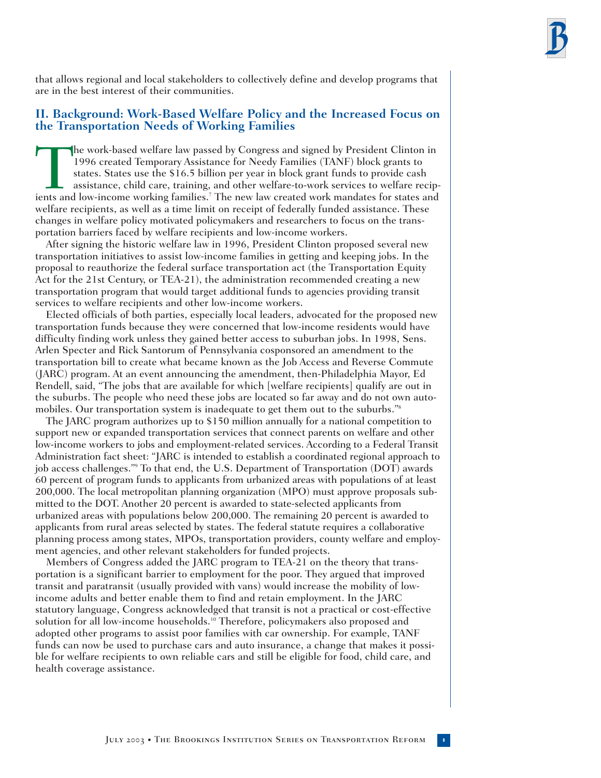that allows regional and local stakeholders to collectively define and develop programs that are in the best interest of their communities.

# **II. Background: Work-Based Welfare Policy and the Increased Focus on the Transportation Needs of Working Families**

The work-based welfare law passed by Congress and signed by President Clinton in 1996 created Temporary Assistance for Needy Families (TANF) block grants to states. States use the \$16.5 billion per year in block grant fund 1996 created Temporary Assistance for Needy Families (TANF) block grants to states. States use the \$16.5 billion per year in block grant funds to provide cash assistance, child care, training, and other welfare-to-work services to welfare recipwelfare recipients, as well as a time limit on receipt of federally funded assistance. These changes in welfare policy motivated policymakers and researchers to focus on the transportation barriers faced by welfare recipients and low-income workers.

After signing the historic welfare law in 1996, President Clinton proposed several new transportation initiatives to assist low-income families in getting and keeping jobs. In the proposal to reauthorize the federal surface transportation act (the Transportation Equity Act for the 21st Century, or TEA-21), the administration recommended creating a new transportation program that would target additional funds to agencies providing transit services to welfare recipients and other low-income workers.

Elected officials of both parties, especially local leaders, advocated for the proposed new transportation funds because they were concerned that low-income residents would have difficulty finding work unless they gained better access to suburban jobs. In 1998, Sens. Arlen Specter and Rick Santorum of Pennsylvania cosponsored an amendment to the transportation bill to create what became known as the Job Access and Reverse Commute (JARC) program. At an event announcing the amendment, then-Philadelphia Mayor, Ed Rendell, said, "The jobs that are available for which [welfare recipients] qualify are out in the suburbs. The people who need these jobs are located so far away and do not own automobiles. Our transportation system is inadequate to get them out to the suburbs."<sup>8</sup>

The JARC program authorizes up to \$150 million annually for a national competition to support new or expanded transportation services that connect parents on welfare and other low-income workers to jobs and employment-related services. According to a Federal Transit Administration fact sheet: "JARC is intended to establish a coordinated regional approach to job access challenges."9 To that end, the U.S. Department of Transportation (DOT) awards 60 percent of program funds to applicants from urbanized areas with populations of at least 200,000. The local metropolitan planning organization (MPO) must approve proposals submitted to the DOT. Another 20 percent is awarded to state-selected applicants from urbanized areas with populations below 200,000. The remaining 20 percent is awarded to applicants from rural areas selected by states. The federal statute requires a collaborative planning process among states, MPOs, transportation providers, county welfare and employment agencies, and other relevant stakeholders for funded projects.

Members of Congress added the JARC program to TEA-21 on the theory that transportation is a significant barrier to employment for the poor. They argued that improved transit and paratransit (usually provided with vans) would increase the mobility of lowincome adults and better enable them to find and retain employment. In the JARC statutory language, Congress acknowledged that transit is not a practical or cost-effective solution for all low-income households.<sup>10</sup> Therefore, policymakers also proposed and adopted other programs to assist poor families with car ownership. For example, TANF funds can now be used to purchase cars and auto insurance, a change that makes it possible for welfare recipients to own reliable cars and still be eligible for food, child care, and health coverage assistance.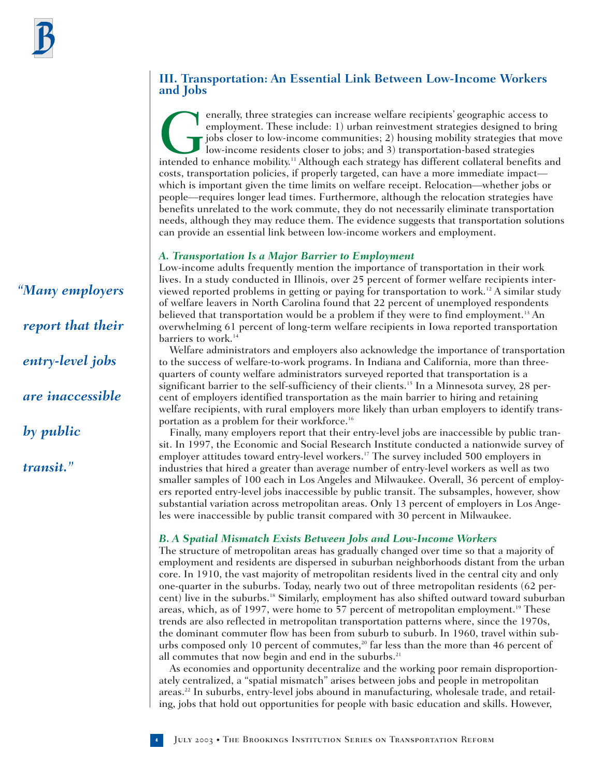# **III. Transportation: An Essential Link Between Low-Income Workers and Jobs**

enerally, three strategies can increase welfare recipients' geographic access to employment. These include: 1) urban reinvestment strategies designed to bring jobs closer to low-income communities; 2) housing mobility stra employment. These include: 1) urban reinvestment strategies designed to bring jobs closer to low-income communities; 2) housing mobility strategies that move low-income residents closer to jobs; and 3) transportation-based strategies costs, transportation policies, if properly targeted, can have a more immediate impact which is important given the time limits on welfare receipt. Relocation—whether jobs or people—requires longer lead times. Furthermore, although the relocation strategies have benefits unrelated to the work commute, they do not necessarily eliminate transportation needs, although they may reduce them. The evidence suggests that transportation solutions can provide an essential link between low-income workers and employment.

# *A. Transportation Is a Major Barrier to Employment*

Low-income adults frequently mention the importance of transportation in their work lives. In a study conducted in Illinois, over 25 percent of former welfare recipients interviewed reported problems in getting or paying for transportation to work.<sup>12</sup> A similar study of welfare leavers in North Carolina found that 22 percent of unemployed respondents believed that transportation would be a problem if they were to find employment.<sup>13</sup> An overwhelming 61 percent of long-term welfare recipients in Iowa reported transportation barriers to work.<sup>14</sup>

Welfare administrators and employers also acknowledge the importance of transportation to the success of welfare-to-work programs. In Indiana and California, more than threequarters of county welfare administrators surveyed reported that transportation is a significant barrier to the self-sufficiency of their clients.15 In a Minnesota survey, 28 percent of employers identified transportation as the main barrier to hiring and retaining welfare recipients, with rural employers more likely than urban employers to identify transportation as a problem for their workforce.<sup>16</sup>

Finally, many employers report that their entry-level jobs are inaccessible by public transit. In 1997, the Economic and Social Research Institute conducted a nationwide survey of employer attitudes toward entry-level workers.17 The survey included 500 employers in industries that hired a greater than average number of entry-level workers as well as two smaller samples of 100 each in Los Angeles and Milwaukee. Overall, 36 percent of employers reported entry-level jobs inaccessible by public transit. The subsamples, however, show substantial variation across metropolitan areas. Only 13 percent of employers in Los Angeles were inaccessible by public transit compared with 30 percent in Milwaukee.

# *B. A Spatial Mismatch Exists Between Jobs and Low-Income Workers*

The structure of metropolitan areas has gradually changed over time so that a majority of employment and residents are dispersed in suburban neighborhoods distant from the urban core. In 1910, the vast majority of metropolitan residents lived in the central city and only one-quarter in the suburbs. Today, nearly two out of three metropolitan residents (62 percent) live in the suburbs.18 Similarly, employment has also shifted outward toward suburban areas, which, as of 1997, were home to 57 percent of metropolitan employment.<sup>19</sup> These trends are also reflected in metropolitan transportation patterns where, since the 1970s, the dominant commuter flow has been from suburb to suburb. In 1960, travel within suburbs composed only 10 percent of commutes,<sup>20</sup> far less than the more than 46 percent of all commutes that now begin and end in the suburbs.<sup>21</sup>

As economies and opportunity decentralize and the working poor remain disproportionately centralized, a "spatial mismatch" arises between jobs and people in metropolitan areas.22 In suburbs, entry-level jobs abound in manufacturing, wholesale trade, and retailing, jobs that hold out opportunities for people with basic education and skills. However,

*"Many employers report that their entry-level jobs are inaccessible by public transit."*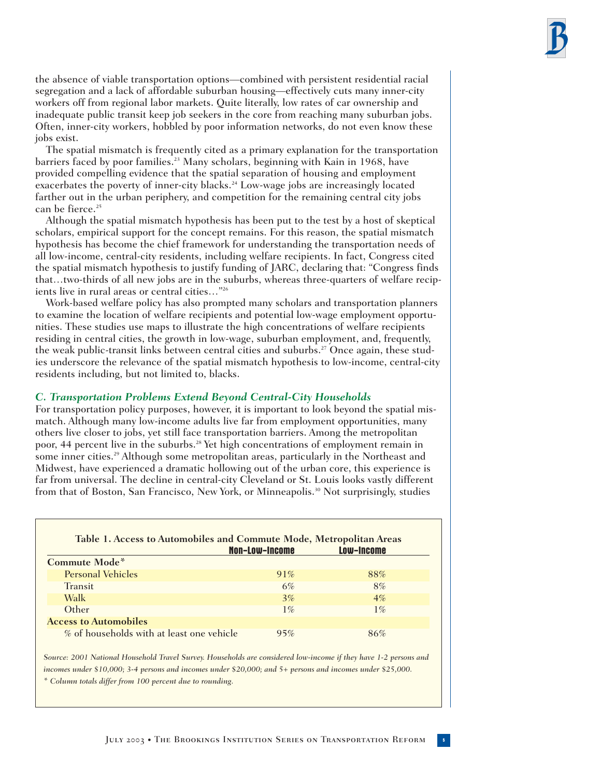the absence of viable transportation options—combined with persistent residential racial segregation and a lack of affordable suburban housing—effectively cuts many inner-city workers off from regional labor markets. Quite literally, low rates of car ownership and inadequate public transit keep job seekers in the core from reaching many suburban jobs. Often, inner-city workers, hobbled by poor information networks, do not even know these jobs exist.

The spatial mismatch is frequently cited as a primary explanation for the transportation barriers faced by poor families.<sup>23</sup> Many scholars, beginning with Kain in 1968, have provided compelling evidence that the spatial separation of housing and employment exacerbates the poverty of inner-city blacks.<sup>24</sup> Low-wage jobs are increasingly located farther out in the urban periphery, and competition for the remaining central city jobs can be fierce.<sup>25</sup>

Although the spatial mismatch hypothesis has been put to the test by a host of skeptical scholars, empirical support for the concept remains. For this reason, the spatial mismatch hypothesis has become the chief framework for understanding the transportation needs of all low-income, central-city residents, including welfare recipients. In fact, Congress cited the spatial mismatch hypothesis to justify funding of JARC, declaring that: "Congress finds that…two-thirds of all new jobs are in the suburbs, whereas three-quarters of welfare recipients live in rural areas or central cities…"26

Work-based welfare policy has also prompted many scholars and transportation planners to examine the location of welfare recipients and potential low-wage employment opportunities. These studies use maps to illustrate the high concentrations of welfare recipients residing in central cities, the growth in low-wage, suburban employment, and, frequently, the weak public-transit links between central cities and suburbs.27 Once again, these studies underscore the relevance of the spatial mismatch hypothesis to low-income, central-city residents including, but not limited to, blacks.

#### *C. Transportation Problems Extend Beyond Central-City Households*

For transportation policy purposes, however, it is important to look beyond the spatial mismatch. Although many low-income adults live far from employment opportunities, many others live closer to jobs, yet still face transportation barriers. Among the metropolitan poor, 44 percent live in the suburbs.28 Yet high concentrations of employment remain in some inner cities.<sup>29</sup> Although some metropolitan areas, particularly in the Northeast and Midwest, have experienced a dramatic hollowing out of the urban core, this experience is far from universal. The decline in central-city Cleveland or St. Louis looks vastly different from that of Boston, San Francisco, New York, or Minneapolis.<sup>30</sup> Not surprisingly, studies

|                                           | <b>Non-Low-Income</b> | <b>Low-Income</b> |
|-------------------------------------------|-----------------------|-------------------|
| Commute Mode*                             |                       |                   |
| <b>Personal Vehicles</b>                  | 91%                   | 88%               |
| <b>Transit</b>                            | $6\%$                 | 8%                |
| Walk                                      | 3%                    | $4\%$             |
| Other                                     | $1\%$                 | $1\%$             |
| <b>Access to Automobiles</b>              |                       |                   |
| % of households with at least one vehicle | 95%                   | 86%               |

*Source: 2001 National Household Travel Survey. Households are considered low-income if they have 1-2 persons and incomes under \$10,000; 3-4 persons and incomes under \$20,000; and 5+ persons and incomes under \$25,000. \* Column totals differ from 100 percent due to rounding.*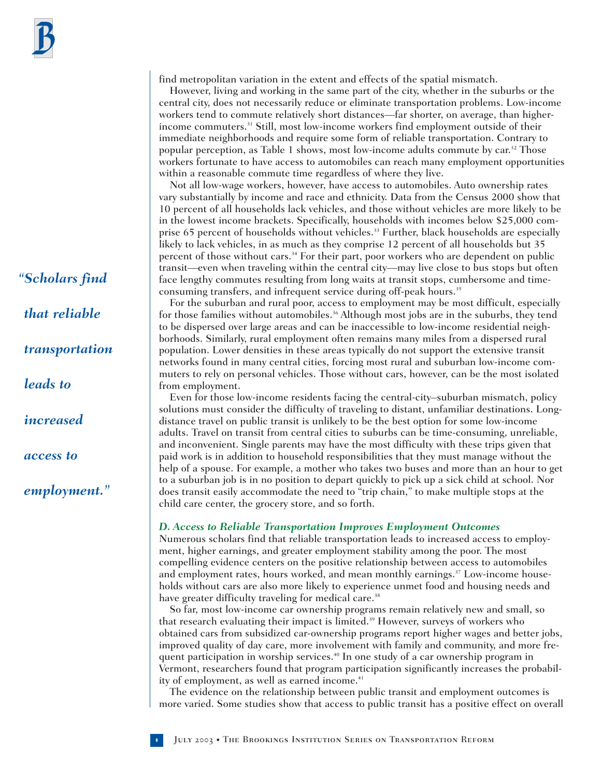*"Scholars find that reliable transportation leads to increased access to employment."*

find metropolitan variation in the extent and effects of the spatial mismatch.

However, living and working in the same part of the city, whether in the suburbs or the central city, does not necessarily reduce or eliminate transportation problems. Low-income workers tend to commute relatively short distances—far shorter, on average, than higherincome commuters.<sup>31</sup> Still, most low-income workers find employment outside of their immediate neighborhoods and require some form of reliable transportation. Contrary to popular perception, as Table 1 shows, most low-income adults commute by car.32 Those workers fortunate to have access to automobiles can reach many employment opportunities within a reasonable commute time regardless of where they live.

Not all low-wage workers, however, have access to automobiles. Auto ownership rates vary substantially by income and race and ethnicity. Data from the Census 2000 show that 10 percent of all households lack vehicles, and those without vehicles are more likely to be in the lowest income brackets. Specifically, households with incomes below \$25,000 comprise 65 percent of households without vehicles.<sup>33</sup> Further, black households are especially likely to lack vehicles, in as much as they comprise 12 percent of all households but 35 percent of those without cars.34 For their part, poor workers who are dependent on public transit—even when traveling within the central city—may live close to bus stops but often face lengthy commutes resulting from long waits at transit stops, cumbersome and timeconsuming transfers, and infrequent service during off-peak hours.<sup>35</sup>

For the suburban and rural poor, access to employment may be most difficult, especially for those families without automobiles.<sup>36</sup> Although most jobs are in the suburbs, they tend to be dispersed over large areas and can be inaccessible to low-income residential neighborhoods. Similarly, rural employment often remains many miles from a dispersed rural population. Lower densities in these areas typically do not support the extensive transit networks found in many central cities, forcing most rural and suburban low-income commuters to rely on personal vehicles. Those without cars, however, can be the most isolated from employment.

Even for those low-income residents facing the central-city–suburban mismatch, policy solutions must consider the difficulty of traveling to distant, unfamiliar destinations. Longdistance travel on public transit is unlikely to be the best option for some low-income adults. Travel on transit from central cities to suburbs can be time-consuming, unreliable, and inconvenient. Single parents may have the most difficulty with these trips given that paid work is in addition to household responsibilities that they must manage without the help of a spouse. For example, a mother who takes two buses and more than an hour to get to a suburban job is in no position to depart quickly to pick up a sick child at school. Nor does transit easily accommodate the need to "trip chain," to make multiple stops at the child care center, the grocery store, and so forth.

#### *D. Access to Reliable Transportation Improves Employment Outcomes*

Numerous scholars find that reliable transportation leads to increased access to employment, higher earnings, and greater employment stability among the poor. The most compelling evidence centers on the positive relationship between access to automobiles and employment rates, hours worked, and mean monthly earnings.<sup>37</sup> Low-income households without cars are also more likely to experience unmet food and housing needs and have greater difficulty traveling for medical care.<sup>38</sup>

So far, most low-income car ownership programs remain relatively new and small, so that research evaluating their impact is limited.<sup>39</sup> However, surveys of workers who obtained cars from subsidized car-ownership programs report higher wages and better jobs, improved quality of day care, more involvement with family and community, and more frequent participation in worship services.40 In one study of a car ownership program in Vermont, researchers found that program participation significantly increases the probability of employment, as well as earned income.<sup>41</sup>

The evidence on the relationship between public transit and employment outcomes is more varied. Some studies show that access to public transit has a positive effect on overall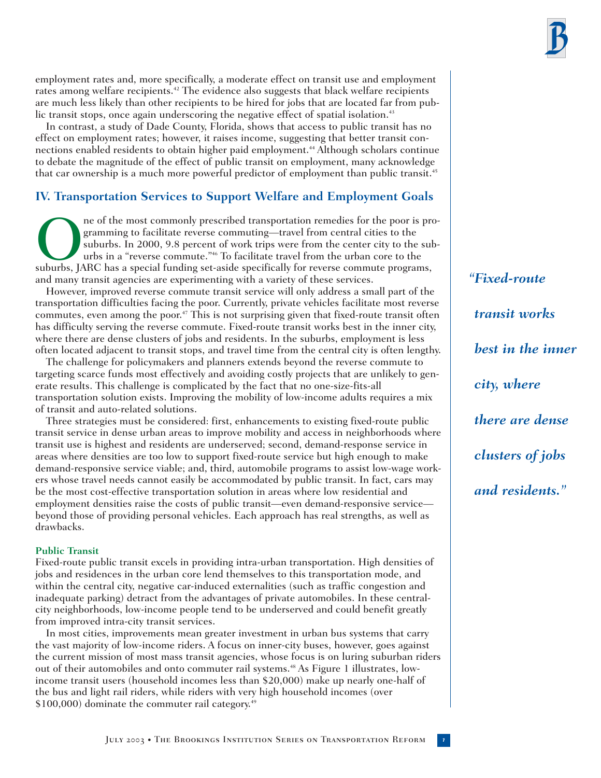

employment rates and, more specifically, a moderate effect on transit use and employment rates among welfare recipients.<sup>42</sup> The evidence also suggests that black welfare recipients are much less likely than other recipients to be hired for jobs that are located far from public transit stops, once again underscoring the negative effect of spatial isolation.<sup>43</sup>

In contrast, a study of Dade County, Florida, shows that access to public transit has no effect on employment rates; however, it raises income, suggesting that better transit connections enabled residents to obtain higher paid employment.<sup>44</sup> Although scholars continue to debate the magnitude of the effect of public transit on employment, many acknowledge that car ownership is a much more powerful predictor of employment than public transit.<sup>45</sup>

# **IV. Transportation Services to Support Welfare and Employment Goals**

The most commonly prescribed transportation remedies for the poor is pro-<br>gramming to facilitate reverse commuting—travel from central cities to the<br>suburbs. In 2000, 9.8 percent of work trips were from the center city to gramming to facilitate reverse commuting—travel from central cities to the suburbs. In 2000, 9.8 percent of work trips were from the center city to the suburbs in a "reverse commute."46 To facilitate travel from the urban core to the and many transit agencies are experimenting with a variety of these services.

However, improved reverse commute transit service will only address a small part of the transportation difficulties facing the poor. Currently, private vehicles facilitate most reverse commutes, even among the poor.<sup> $47$ </sup> This is not surprising given that fixed-route transit often has difficulty serving the reverse commute. Fixed-route transit works best in the inner city, where there are dense clusters of jobs and residents. In the suburbs, employment is less often located adjacent to transit stops, and travel time from the central city is often lengthy.

The challenge for policymakers and planners extends beyond the reverse commute to targeting scarce funds most effectively and avoiding costly projects that are unlikely to generate results. This challenge is complicated by the fact that no one-size-fits-all transportation solution exists. Improving the mobility of low-income adults requires a mix of transit and auto-related solutions.

Three strategies must be considered: first, enhancements to existing fixed-route public transit service in dense urban areas to improve mobility and access in neighborhoods where transit use is highest and residents are underserved; second, demand-response service in areas where densities are too low to support fixed-route service but high enough to make demand-responsive service viable; and, third, automobile programs to assist low-wage workers whose travel needs cannot easily be accommodated by public transit. In fact, cars may be the most cost-effective transportation solution in areas where low residential and employment densities raise the costs of public transit—even demand-responsive service beyond those of providing personal vehicles. Each approach has real strengths, as well as drawbacks.

#### **Public Transit**

Fixed-route public transit excels in providing intra-urban transportation. High densities of jobs and residences in the urban core lend themselves to this transportation mode, and within the central city, negative car-induced externalities (such as traffic congestion and inadequate parking) detract from the advantages of private automobiles. In these centralcity neighborhoods, low-income people tend to be underserved and could benefit greatly from improved intra-city transit services.

In most cities, improvements mean greater investment in urban bus systems that carry the vast majority of low-income riders. A focus on inner-city buses, however, goes against the current mission of most mass transit agencies, whose focus is on luring suburban riders out of their automobiles and onto commuter rail systems.<sup>48</sup> As Figure 1 illustrates, lowincome transit users (household incomes less than \$20,000) make up nearly one-half of the bus and light rail riders, while riders with very high household incomes (over \$100,000) dominate the commuter rail category.<sup>49</sup>

*"Fixed-route transit works best in the inner city, where there are dense clusters of jobs and residents."*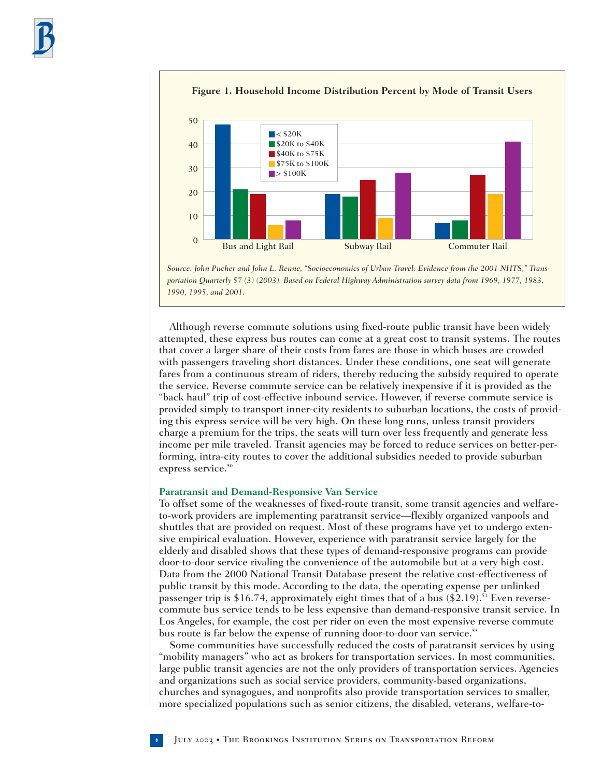



Although reverse commute solutions using fixed-route public transit have been widely attempted, these express bus routes can come at a great cost to transit systems. The routes that cover a larger share of their costs from fares are those in which buses are crowded with passengers traveling short distances. Under these conditions, one seat will generate fares from a continuous stream of riders, thereby reducing the subsidy required to operate the service. Reverse commute service can be relatively inexpensive if it is provided as the "back haul" trip of cost-effective inbound service. However, if reverse commute service is provided simply to transport inner-city residents to suburban locations, the costs of providing this express service will be very high. On these long runs, unless transit providers charge a premium for the trips, the seats will turn over less frequently and generate less income per mile traveled. Transit agencies may be forced to reduce services on better-performing, intra-city routes to cover the additional subsidies needed to provide suburban express service.<sup>50</sup>

#### **Paratransit and Demand-Responsive Van Service**

To offset some of the weaknesses of fixed-route transit, some transit agencies and welfareto-work providers are implementing paratransit service—flexibly organized vanpools and shuttles that are provided on request. Most of these programs have yet to undergo extensive empirical evaluation. However, experience with paratransit service largely for the elderly and disabled shows that these types of demand-responsive programs can provide door-to-door service rivaling the convenience of the automobile but at a very high cost. Data from the 2000 National Transit Database present the relative cost-effectiveness of public transit by this mode. According to the data, the operating expense per unlinked passenger trip is \$16.74, approximately eight times that of a bus  $(\$2.19).$ <sup>51</sup> Even reversecommute bus service tends to be less expensive than demand-responsive transit service. In Los Angeles, for example, the cost per rider on even the most expensive reverse commute bus route is far below the expense of running door-to-door van service.55

Some communities have successfully reduced the costs of paratransit services by using "mobility managers" who act as brokers for transportation services. In most communities, large public transit agencies are not the only providers of transportation services. Agencies and organizations such as social service providers, community-based organizations, churches and synagogues, and nonprofits also provide transportation services to smaller, more specialized populations such as senior citizens, the disabled, veterans, welfare-to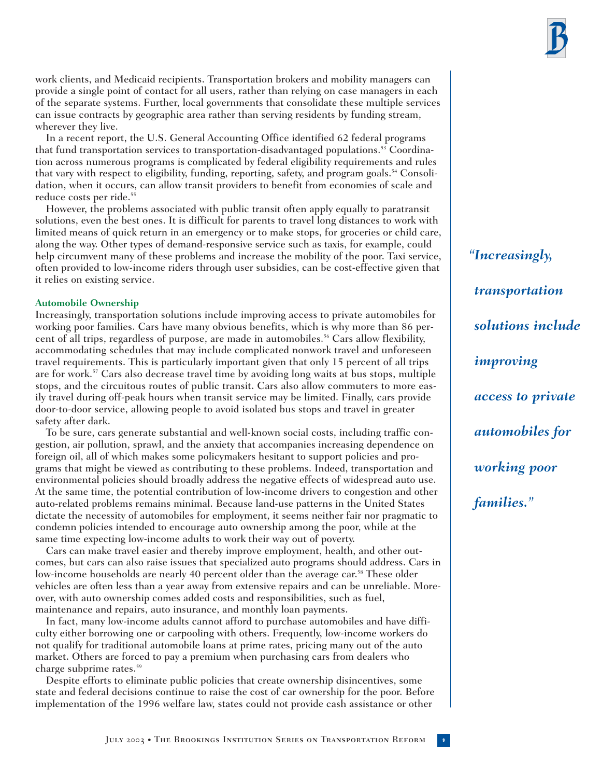work clients, and Medicaid recipients. Transportation brokers and mobility managers can provide a single point of contact for all users, rather than relying on case managers in each of the separate systems. Further, local governments that consolidate these multiple services can issue contracts by geographic area rather than serving residents by funding stream, wherever they live.

In a recent report, the U.S. General Accounting Office identified 62 federal programs that fund transportation services to transportation-disadvantaged populations.<sup>53</sup> Coordination across numerous programs is complicated by federal eligibility requirements and rules that vary with respect to eligibility, funding, reporting, safety, and program goals.<sup>54</sup> Consolidation, when it occurs, can allow transit providers to benefit from economies of scale and reduce costs per ride.<sup>55</sup>

However, the problems associated with public transit often apply equally to paratransit solutions, even the best ones. It is difficult for parents to travel long distances to work with limited means of quick return in an emergency or to make stops, for groceries or child care, along the way. Other types of demand-responsive service such as taxis, for example, could help circumvent many of these problems and increase the mobility of the poor. Taxi service, often provided to low-income riders through user subsidies, can be cost-effective given that it relies on existing service.

#### **Automobile Ownership**

Increasingly, transportation solutions include improving access to private automobiles for working poor families. Cars have many obvious benefits, which is why more than 86 percent of all trips, regardless of purpose, are made in automobiles.<sup>56</sup> Cars allow flexibility, accommodating schedules that may include complicated nonwork travel and unforeseen travel requirements. This is particularly important given that only 15 percent of all trips are for work.57 Cars also decrease travel time by avoiding long waits at bus stops, multiple stops, and the circuitous routes of public transit. Cars also allow commuters to more easily travel during off-peak hours when transit service may be limited. Finally, cars provide door-to-door service, allowing people to avoid isolated bus stops and travel in greater safety after dark.

To be sure, cars generate substantial and well-known social costs, including traffic congestion, air pollution, sprawl, and the anxiety that accompanies increasing dependence on foreign oil, all of which makes some policymakers hesitant to support policies and programs that might be viewed as contributing to these problems. Indeed, transportation and environmental policies should broadly address the negative effects of widespread auto use. At the same time, the potential contribution of low-income drivers to congestion and other auto-related problems remains minimal. Because land-use patterns in the United States dictate the necessity of automobiles for employment, it seems neither fair nor pragmatic to condemn policies intended to encourage auto ownership among the poor, while at the same time expecting low-income adults to work their way out of poverty.

Cars can make travel easier and thereby improve employment, health, and other outcomes, but cars can also raise issues that specialized auto programs should address. Cars in low-income households are nearly 40 percent older than the average car.<sup>58</sup> These older vehicles are often less than a year away from extensive repairs and can be unreliable. Moreover, with auto ownership comes added costs and responsibilities, such as fuel, maintenance and repairs, auto insurance, and monthly loan payments.

In fact, many low-income adults cannot afford to purchase automobiles and have difficulty either borrowing one or carpooling with others. Frequently, low-income workers do not qualify for traditional automobile loans at prime rates, pricing many out of the auto market. Others are forced to pay a premium when purchasing cars from dealers who charge subprime rates.<sup>59</sup>

Despite efforts to eliminate public policies that create ownership disincentives, some state and federal decisions continue to raise the cost of car ownership for the poor. Before implementation of the 1996 welfare law, states could not provide cash assistance or other

*"Increasingly, transportation solutions include improving access to private automobiles for working poor families."*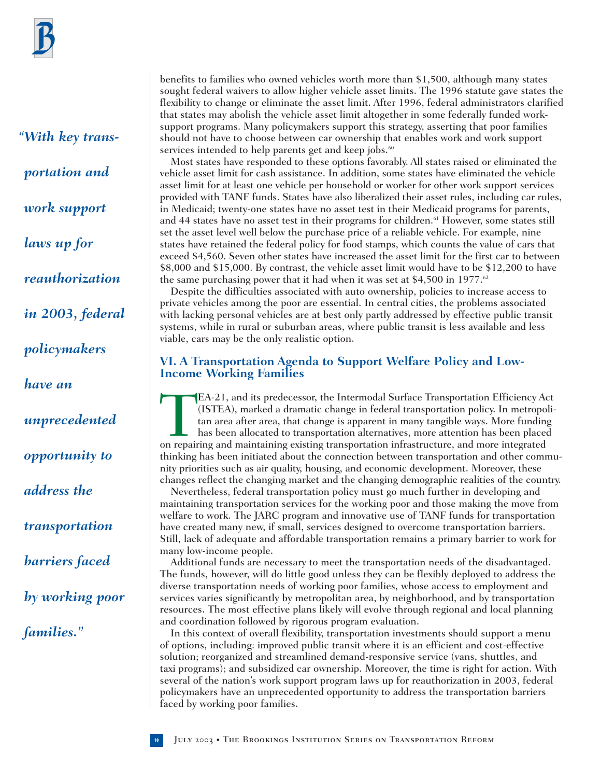*"With key transportation and work support laws up for reauthorization in 2003, federal policymakers have an unprecedented opportunity to address the transportation barriers faced by working poor families."*

benefits to families who owned vehicles worth more than \$1,500, although many states sought federal waivers to allow higher vehicle asset limits. The 1996 statute gave states the flexibility to change or eliminate the asset limit. After 1996, federal administrators clarified that states may abolish the vehicle asset limit altogether in some federally funded worksupport programs. Many policymakers support this strategy, asserting that poor families should not have to choose between car ownership that enables work and work support services intended to help parents get and keep jobs.<sup>60</sup>

Most states have responded to these options favorably. All states raised or eliminated the vehicle asset limit for cash assistance. In addition, some states have eliminated the vehicle asset limit for at least one vehicle per household or worker for other work support services provided with TANF funds. States have also liberalized their asset rules, including car rules, in Medicaid; twenty-one states have no asset test in their Medicaid programs for parents, and 44 states have no asset test in their programs for children.<sup>61</sup> However, some states still set the asset level well below the purchase price of a reliable vehicle. For example, nine states have retained the federal policy for food stamps, which counts the value of cars that exceed \$4,560. Seven other states have increased the asset limit for the first car to between \$8,000 and \$15,000. By contrast, the vehicle asset limit would have to be \$12,200 to have the same purchasing power that it had when it was set at \$4,500 in 1977.<sup>62</sup>

Despite the difficulties associated with auto ownership, policies to increase access to private vehicles among the poor are essential. In central cities, the problems associated with lacking personal vehicles are at best only partly addressed by effective public transit systems, while in rural or suburban areas, where public transit is less available and less viable, cars may be the only realistic option.

# **VI. A Transportation Agenda to Support Welfare Policy and Low-Income Working Families**

EA-21, and its predecessor, the Intermodal Surface Transportation Efficiency Act (ISTEA), marked a dramatic change in federal transportation policy. In metropoli tan area after area, that change is apparent in many tangibl (ISTEA), marked a dramatic change in federal transportation policy. In metropolitan area after area, that change is apparent in many tangible ways. More funding has been allocated to transportation alternatives, more attention has been placed thinking has been initiated about the connection between transportation and other community priorities such as air quality, housing, and economic development. Moreover, these changes reflect the changing market and the changing demographic realities of the country.

Nevertheless, federal transportation policy must go much further in developing and maintaining transportation services for the working poor and those making the move from welfare to work. The JARC program and innovative use of TANF funds for transportation have created many new, if small, services designed to overcome transportation barriers. Still, lack of adequate and affordable transportation remains a primary barrier to work for many low-income people.

Additional funds are necessary to meet the transportation needs of the disadvantaged. The funds, however, will do little good unless they can be flexibly deployed to address the diverse transportation needs of working poor families, whose access to employment and services varies significantly by metropolitan area, by neighborhood, and by transportation resources. The most effective plans likely will evolve through regional and local planning and coordination followed by rigorous program evaluation.

In this context of overall flexibility, transportation investments should support a menu of options, including: improved public transit where it is an efficient and cost-effective solution; reorganized and streamlined demand-responsive service (vans, shuttles, and taxi programs); and subsidized car ownership. Moreover, the time is right for action. With several of the nation's work support program laws up for reauthorization in 2003, federal policymakers have an unprecedented opportunity to address the transportation barriers faced by working poor families.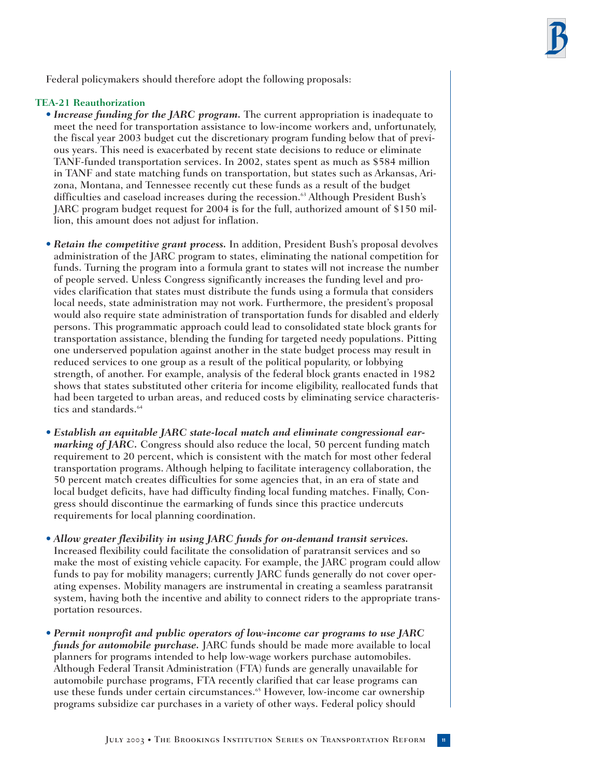Federal policymakers should therefore adopt the following proposals:

#### **TEA-21 Reauthorization**

- *Increase funding for the JARC program.* The current appropriation is inadequate to meet the need for transportation assistance to low-income workers and, unfortunately, the fiscal year 2003 budget cut the discretionary program funding below that of previous years. This need is exacerbated by recent state decisions to reduce or eliminate TANF-funded transportation services. In 2002, states spent as much as \$584 million in TANF and state matching funds on transportation, but states such as Arkansas, Arizona, Montana, and Tennessee recently cut these funds as a result of the budget difficulties and caseload increases during the recession.<sup>63</sup> Although President Bush's JARC program budget request for 2004 is for the full, authorized amount of \$150 million, this amount does not adjust for inflation.
- *Retain the competitive grant process.* In addition, President Bush's proposal devolves administration of the JARC program to states, eliminating the national competition for funds. Turning the program into a formula grant to states will not increase the number of people served. Unless Congress significantly increases the funding level and provides clarification that states must distribute the funds using a formula that considers local needs, state administration may not work. Furthermore, the president's proposal would also require state administration of transportation funds for disabled and elderly persons. This programmatic approach could lead to consolidated state block grants for transportation assistance, blending the funding for targeted needy populations. Pitting one underserved population against another in the state budget process may result in reduced services to one group as a result of the political popularity, or lobbying strength, of another. For example, analysis of the federal block grants enacted in 1982 shows that states substituted other criteria for income eligibility, reallocated funds that had been targeted to urban areas, and reduced costs by eliminating service characteristics and standards.<sup>64</sup>
- *Establish an equitable JARC state-local match and eliminate congressional earmarking of JARC.* Congress should also reduce the local, 50 percent funding match requirement to 20 percent, which is consistent with the match for most other federal transportation programs. Although helping to facilitate interagency collaboration, the 50 percent match creates difficulties for some agencies that, in an era of state and local budget deficits, have had difficulty finding local funding matches. Finally, Congress should discontinue the earmarking of funds since this practice undercuts requirements for local planning coordination.
- *Allow greater flexibility in using JARC funds for on-demand transit services.* Increased flexibility could facilitate the consolidation of paratransit services and so make the most of existing vehicle capacity. For example, the JARC program could allow funds to pay for mobility managers; currently JARC funds generally do not cover operating expenses. Mobility managers are instrumental in creating a seamless paratransit system, having both the incentive and ability to connect riders to the appropriate transportation resources.
- *Permit nonprofit and public operators of low-income car programs to use JARC funds for automobile purchase.* JARC funds should be made more available to local planners for programs intended to help low-wage workers purchase automobiles. Although Federal Transit Administration (FTA) funds are generally unavailable for automobile purchase programs, FTA recently clarified that car lease programs can use these funds under certain circumstances.<sup>65</sup> However, low-income car ownership programs subsidize car purchases in a variety of other ways. Federal policy should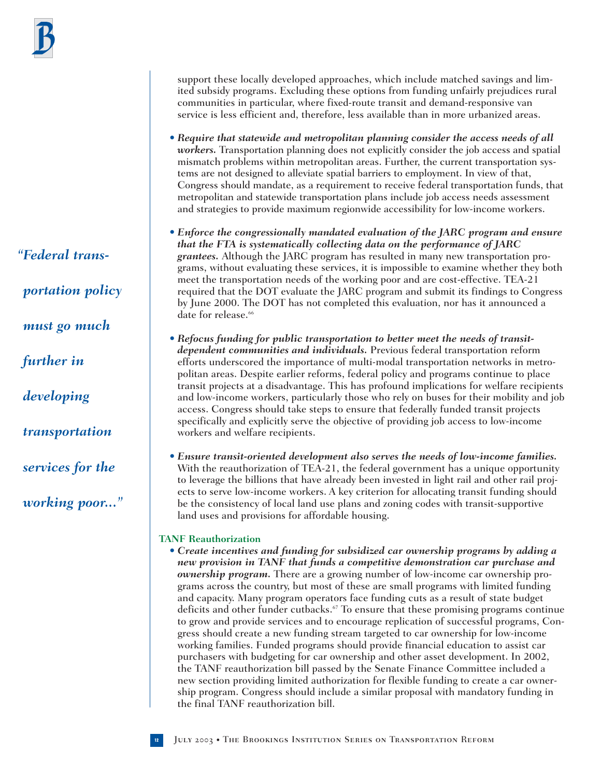*"Federal transportation policy must go much further in developing transportation services for the working poor..."* support these locally developed approaches, which include matched savings and limited subsidy programs. Excluding these options from funding unfairly prejudices rural communities in particular, where fixed-route transit and demand-responsive van service is less efficient and, therefore, less available than in more urbanized areas.

- *Require that statewide and metropolitan planning consider the access needs of all workers.* Transportation planning does not explicitly consider the job access and spatial mismatch problems within metropolitan areas. Further, the current transportation systems are not designed to alleviate spatial barriers to employment. In view of that, Congress should mandate, as a requirement to receive federal transportation funds, that metropolitan and statewide transportation plans include job access needs assessment and strategies to provide maximum regionwide accessibility for low-income workers.
- *Enforce the congressionally mandated evaluation of the JARC program and ensure that the FTA is systematically collecting data on the performance of JARC grantees.* Although the JARC program has resulted in many new transportation programs, without evaluating these services, it is impossible to examine whether they both meet the transportation needs of the working poor and are cost-effective. TEA-21 required that the DOT evaluate the JARC program and submit its findings to Congress by June 2000. The DOT has not completed this evaluation, nor has it announced a date for release.<sup>66</sup>
- *Refocus funding for public transportation to better meet the needs of transitdependent communities and individuals.* Previous federal transportation reform efforts underscored the importance of multi-modal transportation networks in metropolitan areas. Despite earlier reforms, federal policy and programs continue to place transit projects at a disadvantage. This has profound implications for welfare recipients and low-income workers, particularly those who rely on buses for their mobility and job access. Congress should take steps to ensure that federally funded transit projects specifically and explicitly serve the objective of providing job access to low-income workers and welfare recipients.
- *Ensure transit-oriented development also serves the needs of low-income families.* With the reauthorization of TEA-21, the federal government has a unique opportunity to leverage the billions that have already been invested in light rail and other rail projects to serve low-income workers. A key criterion for allocating transit funding should be the consistency of local land use plans and zoning codes with transit-supportive land uses and provisions for affordable housing.

#### **TANF Reauthorization**

• *Create incentives and funding for subsidized car ownership programs by adding a new provision in TANF that funds a competitive demonstration car purchase and ownership program.* There are a growing number of low-income car ownership programs across the country, but most of these are small programs with limited funding and capacity. Many program operators face funding cuts as a result of state budget deficits and other funder cutbacks.67 To ensure that these promising programs continue to grow and provide services and to encourage replication of successful programs, Congress should create a new funding stream targeted to car ownership for low-income working families. Funded programs should provide financial education to assist car purchasers with budgeting for car ownership and other asset development. In 2002, the TANF reauthorization bill passed by the Senate Finance Committee included a new section providing limited authorization for flexible funding to create a car ownership program. Congress should include a similar proposal with mandatory funding in the final TANF reauthorization bill.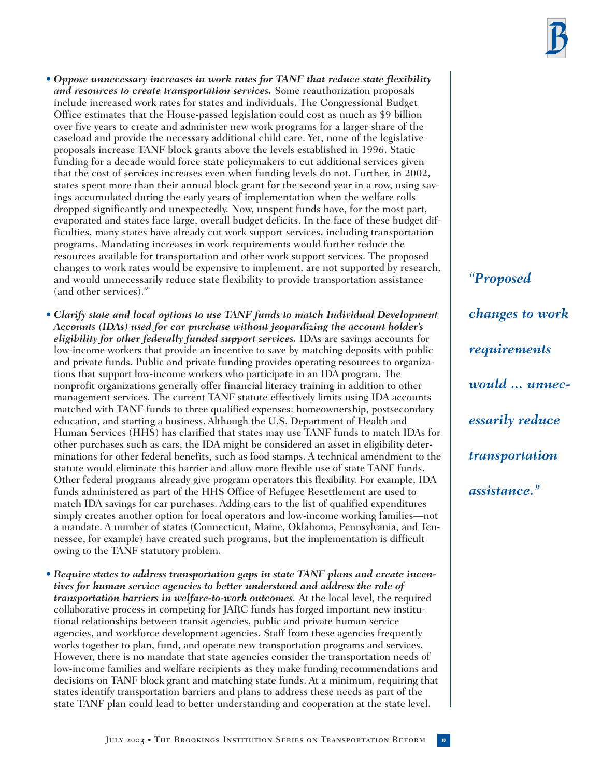

• *Oppose unnecessary increases in work rates for TANF that reduce state flexibility and resources to create transportation services.* Some reauthorization proposals include increased work rates for states and individuals. The Congressional Budget Office estimates that the House-passed legislation could cost as much as \$9 billion over five years to create and administer new work programs for a larger share of the caseload and provide the necessary additional child care. Yet, none of the legislative proposals increase TANF block grants above the levels established in 1996. Static funding for a decade would force state policymakers to cut additional services given that the cost of services increases even when funding levels do not. Further, in 2002, states spent more than their annual block grant for the second year in a row, using savings accumulated during the early years of implementation when the welfare rolls dropped significantly and unexpectedly. Now, unspent funds have, for the most part, evaporated and states face large, overall budget deficits. In the face of these budget difficulties, many states have already cut work support services, including transportation programs. Mandating increases in work requirements would further reduce the resources available for transportation and other work support services. The proposed changes to work rates would be expensive to implement, are not supported by research, and would unnecessarily reduce state flexibility to provide transportation assistance (and other services).69

• *Clarify state and local options to use TANF funds to match Individual Development Accounts (IDAs) used for car purchase without jeopardizing the account holder's eligibility for other federally funded support services.* IDAs are savings accounts for low-income workers that provide an incentive to save by matching deposits with public and private funds. Public and private funding provides operating resources to organizations that support low-income workers who participate in an IDA program. The nonprofit organizations generally offer financial literacy training in addition to other management services. The current TANF statute effectively limits using IDA accounts matched with TANF funds to three qualified expenses: homeownership, postsecondary education, and starting a business. Although the U.S. Department of Health and Human Services (HHS) has clarified that states may use TANF funds to match IDAs for other purchases such as cars, the IDA might be considered an asset in eligibility determinations for other federal benefits, such as food stamps. A technical amendment to the statute would eliminate this barrier and allow more flexible use of state TANF funds. Other federal programs already give program operators this flexibility. For example, IDA funds administered as part of the HHS Office of Refugee Resettlement are used to match IDA savings for car purchases. Adding cars to the list of qualified expenditures simply creates another option for local operators and low-income working families—not a mandate. A number of states (Connecticut, Maine, Oklahoma, Pennsylvania, and Tennessee, for example) have created such programs, but the implementation is difficult owing to the TANF statutory problem.

• *Require states to address transportation gaps in state TANF plans and create incentives for human service agencies to better understand and address the role of transportation barriers in welfare-to-work outcomes.* At the local level, the required collaborative process in competing for JARC funds has forged important new institutional relationships between transit agencies, public and private human service agencies, and workforce development agencies. Staff from these agencies frequently works together to plan, fund, and operate new transportation programs and services. However, there is no mandate that state agencies consider the transportation needs of low-income families and welfare recipients as they make funding recommendations and decisions on TANF block grant and matching state funds. At a minimum, requiring that states identify transportation barriers and plans to address these needs as part of the state TANF plan could lead to better understanding and cooperation at the state level.

*"Proposed changes to work requirements would ... unnecessarily reduce transportation assistance."*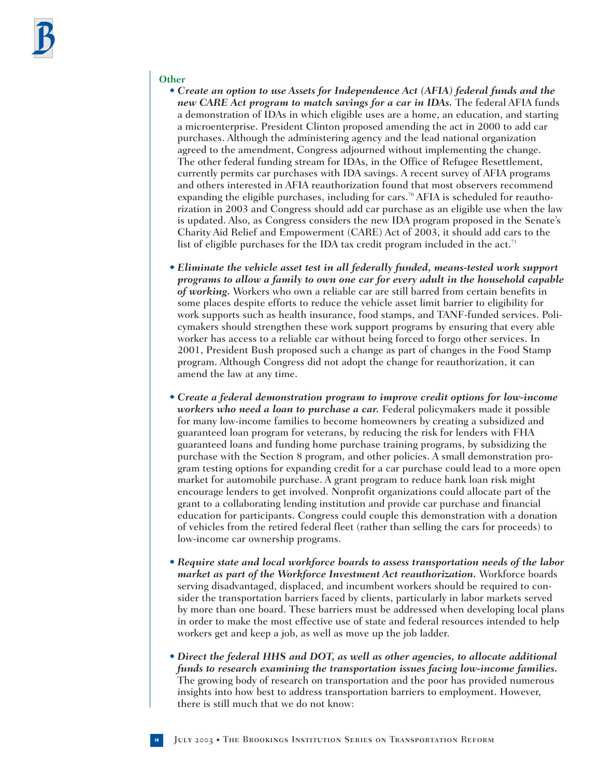#### **Other**

- *Create an option to use Assets for Independence Act (AFIA) federal funds and the new CARE Act program to match savings for a car in IDAs.* The federal AFIA funds a demonstration of IDAs in which eligible uses are a home, an education, and starting a microenterprise. President Clinton proposed amending the act in 2000 to add car purchases. Although the administering agency and the lead national organization agreed to the amendment, Congress adjourned without implementing the change. The other federal funding stream for IDAs, in the Office of Refugee Resettlement, currently permits car purchases with IDA savings. A recent survey of AFIA programs and others interested in AFIA reauthorization found that most observers recommend expanding the eligible purchases, including for cars.<sup>70</sup> AFIA is scheduled for reauthorization in 2003 and Congress should add car purchase as an eligible use when the law is updated. Also, as Congress considers the new IDA program proposed in the Senate's Charity Aid Relief and Empowerment (CARE) Act of 2003, it should add cars to the list of eligible purchases for the IDA tax credit program included in the act.<sup>71</sup>
- *Eliminate the vehicle asset test in all federally funded, means-tested work support programs to allow a family to own one car for every adult in the household capable of working.* Workers who own a reliable car are still barred from certain benefits in some places despite efforts to reduce the vehicle asset limit barrier to eligibility for work supports such as health insurance, food stamps, and TANF-funded services. Policymakers should strengthen these work support programs by ensuring that every able worker has access to a reliable car without being forced to forgo other services. In 2001, President Bush proposed such a change as part of changes in the Food Stamp program. Although Congress did not adopt the change for reauthorization, it can amend the law at any time.
- *Create a federal demonstration program to improve credit options for low-income workers who need a loan to purchase a car.* Federal policymakers made it possible for many low-income families to become homeowners by creating a subsidized and guaranteed loan program for veterans, by reducing the risk for lenders with FHA guaranteed loans and funding home purchase training programs, by subsidizing the purchase with the Section 8 program, and other policies. A small demonstration program testing options for expanding credit for a car purchase could lead to a more open market for automobile purchase. A grant program to reduce bank loan risk might encourage lenders to get involved. Nonprofit organizations could allocate part of the grant to a collaborating lending institution and provide car purchase and financial education for participants. Congress could couple this demonstration with a donation of vehicles from the retired federal fleet (rather than selling the cars for proceeds) to low-income car ownership programs.
- *Require state and local workforce boards to assess transportation needs of the labor market as part of the Workforce Investment Act reauthorization.* Workforce boards serving disadvantaged, displaced, and incumbent workers should be required to consider the transportation barriers faced by clients, particularly in labor markets served by more than one board. These barriers must be addressed when developing local plans in order to make the most effective use of state and federal resources intended to help workers get and keep a job, as well as move up the job ladder.
- *Direct the federal HHS and DOT, as well as other agencies, to allocate additional funds to research examining the transportation issues facing low-income families.* The growing body of research on transportation and the poor has provided numerous insights into how best to address transportation barriers to employment. However, there is still much that we do not know:

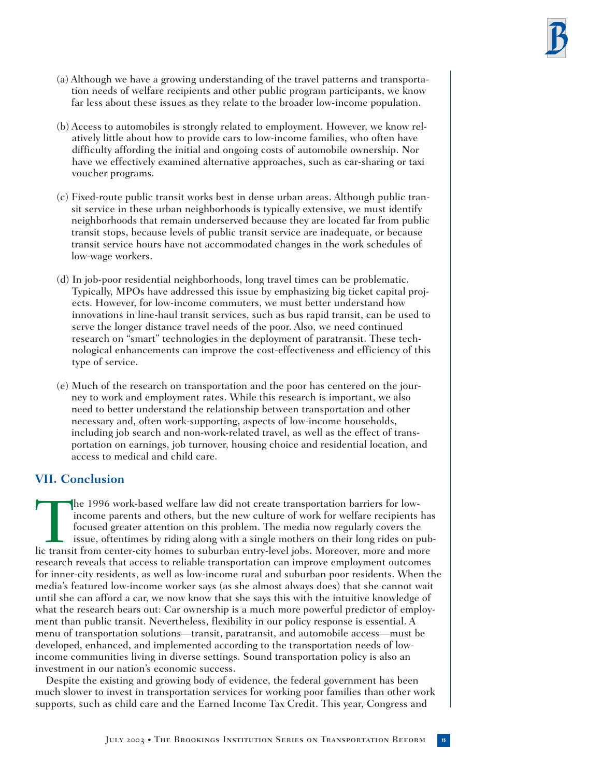- (a) Although we have a growing understanding of the travel patterns and transportation needs of welfare recipients and other public program participants, we know far less about these issues as they relate to the broader low-income population.
- (b) Access to automobiles is strongly related to employment. However, we know relatively little about how to provide cars to low-income families, who often have difficulty affording the initial and ongoing costs of automobile ownership. Nor have we effectively examined alternative approaches, such as car-sharing or taxi voucher programs.
- (c) Fixed-route public transit works best in dense urban areas. Although public transit service in these urban neighborhoods is typically extensive, we must identify neighborhoods that remain underserved because they are located far from public transit stops, because levels of public transit service are inadequate, or because transit service hours have not accommodated changes in the work schedules of low-wage workers.
- (d) In job-poor residential neighborhoods, long travel times can be problematic. Typically, MPOs have addressed this issue by emphasizing big ticket capital projects. However, for low-income commuters, we must better understand how innovations in line-haul transit services, such as bus rapid transit, can be used to serve the longer distance travel needs of the poor. Also, we need continued research on "smart" technologies in the deployment of paratransit. These technological enhancements can improve the cost-effectiveness and efficiency of this type of service.
- (e) Much of the research on transportation and the poor has centered on the journey to work and employment rates. While this research is important, we also need to better understand the relationship between transportation and other necessary and, often work-supporting, aspects of low-income households, including job search and non-work-related travel, as well as the effect of transportation on earnings, job turnover, housing choice and residential location, and access to medical and child care.

# **VII. Conclusion**

The 1996 work-based welfare law did not create transportation barriers for low-<br>income parents and others, but the new culture of work for welfare recipients ha<br>focused greater attention on this problem. The media now regu income parents and others, but the new culture of work for welfare recipients has focused greater attention on this problem. The media now regularly covers the issue, oftentimes by riding along with a single mothers on their long rides on pubresearch reveals that access to reliable transportation can improve employment outcomes for inner-city residents, as well as low-income rural and suburban poor residents. When the media's featured low-income worker says (as she almost always does) that she cannot wait until she can afford a car, we now know that she says this with the intuitive knowledge of what the research bears out: Car ownership is a much more powerful predictor of employment than public transit. Nevertheless, flexibility in our policy response is essential. A menu of transportation solutions—transit, paratransit, and automobile access—must be developed, enhanced, and implemented according to the transportation needs of lowincome communities living in diverse settings. Sound transportation policy is also an investment in our nation's economic success.

Despite the existing and growing body of evidence, the federal government has been much slower to invest in transportation services for working poor families than other work supports, such as child care and the Earned Income Tax Credit. This year, Congress and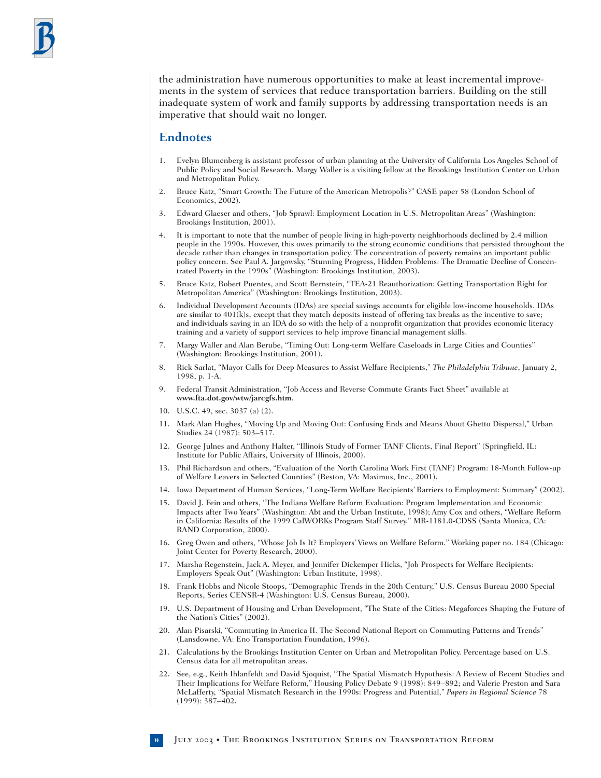the administration have numerous opportunities to make at least incremental improvements in the system of services that reduce transportation barriers. Building on the still inadequate system of work and family supports by addressing transportation needs is an imperative that should wait no longer.

#### **Endnotes**

- 1. Evelyn Blumenberg is assistant professor of urban planning at the University of California Los Angeles School of Public Policy and Social Research. Margy Waller is a visiting fellow at the Brookings Institution Center on Urban and Metropolitan Policy.
- 2. Bruce Katz, "Smart Growth: The Future of the American Metropolis?" CASE paper 58 (London School of Economics, 2002).
- 3. Edward Glaeser and others, "Job Sprawl: Employment Location in U.S. Metropolitan Areas" (Washington: Brookings Institution, 2001).
- 4. It is important to note that the number of people living in high-poverty neighborhoods declined by 2.4 million people in the 1990s. However, this owes primarily to the strong economic conditions that persisted throughout the decade rather than changes in transportation policy. The concentration of poverty remains an important public policy concern. See Paul A. Jargowsky, "Stunning Progress, Hidden Problems: The Dramatic Decline of Concentrated Poverty in the 1990s" (Washington: Brookings Institution, 2003).
- 5. Bruce Katz, Robert Puentes, and Scott Bernstein, "TEA-21 Reauthorization: Getting Transportation Right for Metropolitan America" (Washington: Brookings Institution, 2003).
- 6. Individual Development Accounts (IDAs) are special savings accounts for eligible low-income households. IDAs are similar to 401(k)s, except that they match deposits instead of offering tax breaks as the incentive to save; and individuals saving in an IDA do so with the help of a nonprofit organization that provides economic literacy training and a variety of support services to help improve financial management skills.
- 7. Margy Waller and Alan Berube, "Timing Out: Long-term Welfare Caseloads in Large Cities and Counties" (Washington: Brookings Institution, 2001).
- 8. Rick Sarlat, "Mayor Calls for Deep Measures to Assist Welfare Recipients," *The Philadelphia Tribune*, January 2, 1998, p. 1-A.
- 9. Federal Transit Administration, "Job Access and Reverse Commute Grants Fact Sheet" available at **www.fta.dot.gov/wtw/jarcgfs.htm**.
- 10. U.S.C. 49, sec. 3037 (a) (2).
- 11. Mark Alan Hughes, "Moving Up and Moving Out: Confusing Ends and Means About Ghetto Dispersal," Urban Studies 24 (1987): 503–517.
- 12. George Julnes and Anthony Halter, "Illinois Study of Former TANF Clients, Final Report" (Springfield, IL: Institute for Public Affairs, University of Illinois, 2000).
- 13. Phil Richardson and others, "Evaluation of the North Carolina Work First (TANF) Program: 18-Month Follow-up of Welfare Leavers in Selected Counties" (Reston, VA: Maximus, Inc., 2001).
- 14. Iowa Department of Human Services, "Long-Term Welfare Recipients' Barriers to Employment: Summary" (2002).
- 15. David J. Fein and others, "The Indiana Welfare Reform Evaluation: Program Implementation and Economic Impacts after Two Years" (Washington: Abt and the Urban Institute, 1998); Amy Cox and others, "Welfare Reform in California: Results of the 1999 CalWORKs Program Staff Survey." MR-1181.0-CDSS (Santa Monica, CA: RAND Corporation, 2000).
- 16. Greg Owen and others, "Whose Job Is It? Employers' Views on Welfare Reform." Working paper no. 184 (Chicago: Joint Center for Poverty Research, 2000).
- 17. Marsha Regenstein, Jack A. Meyer, and Jennifer Dickemper Hicks, "Job Prospects for Welfare Recipients: Employers Speak Out" (Washington: Urban Institute, 1998).
- 18. Frank Hobbs and Nicole Stoops, "Demographic Trends in the 20th Century," U.S. Census Bureau 2000 Special Reports, Series CENSR-4 (Washington: U.S. Census Bureau, 2000).
- 19. U.S. Department of Housing and Urban Development, "The State of the Cities: Megaforces Shaping the Future of the Nation's Cities" (2002).
- 20. Alan Pisarski, "Commuting in America II. The Second National Report on Commuting Patterns and Trends" (Lansdowne, VA: Eno Transportation Foundation, 1996).
- 21. Calculations by the Brookings Institution Center on Urban and Metropolitan Policy. Percentage based on U.S. Census data for all metropolitan areas.
- 22. See, e.g., Keith Ihlanfeldt and David Sjoquist, "The Spatial Mismatch Hypothesis: A Review of Recent Studies and Their Implications for Welfare Reform," Housing Policy Debate 9 (1998): 849–892; and Valerie Preston and Sara McLafferty, "Spatial Mismatch Research in the 1990s: Progress and Potential," *Papers in Regional Science* 78 (1999): 387–402.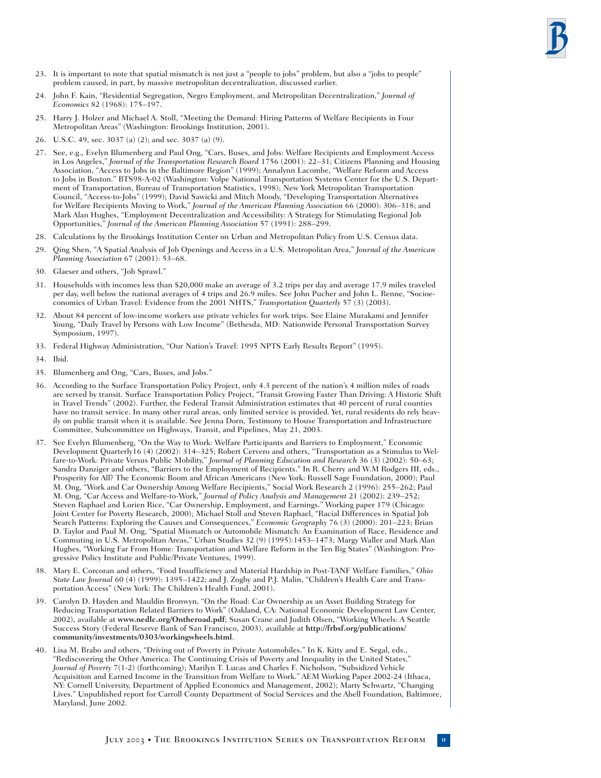- 23. It is important to note that spatial mismatch is not just a "people to jobs" problem, but also a "jobs to people" problem caused, in part, by massive metropolitan decentralization, discussed earlier.
- 24. John F. Kain, "Residential Segregation, Negro Employment, and Metropolitan Decentralization," *Journal of Economics* 82 (1968): 175–197.
- 25. Harry J. Holzer and Michael A. Stoll, "Meeting the Demand: Hiring Patterns of Welfare Recipients in Four Metropolitan Areas" (Washington: Brookings Institution, 2001).
- 26. U.S.C. 49, sec. 3037 (a) (2); and sec. 3037 (a) (9).
- 27. See, e.g., Evelyn Blumenberg and Paul Ong, "Cars, Buses, and Jobs: Welfare Recipients and Employment Access in Los Angeles," *Journal of the Transportation Research Board* 1756 (2001): 22–31; Citizens Planning and Housing Association, "Access to Jobs in the Baltimore Region" (1999); Annalynn Lacombe, "Welfare Reform and Access to Jobs in Boston." BTS98-A-02 (Washington: Volpe National Transportation Systems Center for the U.S. Department of Transportation, Bureau of Transportation Statistics, 1998); New York Metropolitan Transportation Council, "Access-to-Jobs" (1999); David Sawicki and Mitch Moody, "Developing Transportation Alternatives for Welfare Recipients Moving to Work," *Journal of the American Planning Association* 66 (2000): 306–318; and Mark Alan Hughes, "Employment Decentralization and Accessibility: A Strategy for Stimulating Regional Job Opportunities," *Journal of the American Planning Association* 57 (1991): 288–299.
- 28. Calculations by the Brookings Institution Center on Urban and Metropolitan Policy from U.S. Census data.
- 29. Qing Shen, "A Spatial Analysis of Job Openings and Access in a U.S. Metropolitan Area," *Journal of the American Planning Association* 67 (2001): 53–68.
- 30. Glaeser and others, "Job Sprawl."
- 31. Households with incomes less than \$20,000 make an average of 3.2 trips per day and average 17.9 miles traveled per day, well below the national averages of 4 trips and 26.9 miles. See John Pucher and John L. Renne, "Socioeconomics of Urban Travel: Evidence from the 2001 NHTS," *Transportation Quarterly* 57 (3) (2003).
- 32. About 84 percent of low-income workers use private vehicles for work trips. See Elaine Murakami and Jennifer Young, "Daily Travel by Persons with Low Income" (Bethesda, MD: Nationwide Personal Transportation Survey Symposium, 1997).
- 33. Federal Highway Administration, "Our Nation's Travel: 1995 NPTS Early Results Report" (1995).
- 34. Ibid.
- 35. Blumenberg and Ong, "Cars, Buses, and Jobs."
- 36. According to the Surface Transportation Policy Project, only 4.3 percent of the nation's 4 million miles of roads are served by transit. Surface Transportation Policy Project, "Transit Growing Faster Than Driving: A Historic Shift in Travel Trends" (2002). Further, the Federal Transit Administration estimates that 40 percent of rural counties have no transit service. In many other rural areas, only limited service is provided. Yet, rural residents do rely heavily on public transit when it is available. See Jenna Dorn, Testimony to House Transportation and Infrastructure Committee, Subcommittee on Highways, Transit, and Pipelines, May 21, 2003.
- 37. See Evelyn Blumenberg, "On the Way to Work: Welfare Participants and Barriers to Employment," Economic Development Quarterly16 (4) (2002): 314–325; Robert Cervero and others, "Transportation as a Stimulus to Welfare-to-Work: Private Versus Public Mobility," *Journal of Planning Education and Research* 36 (3) (2002): 50–63; Sandra Danziger and others, "Barriers to the Employment of Recipients." In R. Cherry and W.M Rodgers III, eds., Prosperity for All? The Economic Boom and African Americans (New York: Russell Sage Foundation, 2000); Paul M. Ong, "Work and Car Ownership Among Welfare Recipients," Social Work Research 2 (1996): 255–262; Paul M. Ong, "Car Access and Welfare-to-Work," *Journal of Policy Analysis and Management* 21 (2002): 239–252; Steven Raphael and Lorien Rice, "Car Ownership, Employment, and Earnings." Working paper 179 (Chicago: Joint Center for Poverty Research, 2000); Michael Stoll and Steven Raphael, "Racial Differences in Spatial Job Search Patterns: Exploring the Causes and Consequences," *Economic Geography* 76 (3) (2000): 201–223; Brian D. Taylor and Paul M. Ong, "Spatial Mismatch or Automobile Mismatch: An Examination of Race, Residence and Commuting in U.S. Metropolitan Areas," Urban Studies 32 (9) (1995):1453–1473; Margy Waller and Mark Alan Hughes, "Working Far From Home: Transportation and Welfare Reform in the Ten Big States" (Washington: Progressive Policy Institute and Public/Private Ventures, 1999).
- 38. Mary E. Corcoran and others, "Food Insufficiency and Material Hardship in Post-TANF Welfare Families," *Ohio State Law Journal* 60 (4) (1999): 1395–1422; and J. Zogby and P.J. Malin, "Children's Health Care and Transportation Access" (New York: The Children's Health Fund, 2001).
- 39. Carolyn D. Hayden and Mauldin Bronwyn, "On the Road: Car Ownership as an Asset Building Strategy for Reducing Transportation Related Barriers to Work" (Oakland, CA: National Economic Development Law Center, 2002), available at **www.nedlc.org/Ontheroad.pdf**; Susan Crane and Judith Olsen, "Working Wheels: A Seattle Success Story (Federal Reserve Bank of San Francisco, 2003), available at **http://frbsf.org/publications/ community/investments/0303/workingwheels.html**.
- 40. Lisa M. Brabo and others, "Driving out of Poverty in Private Automobiles." In K. Kitty and E. Segal, eds., "Rediscovering the Other America: The Continuing Crisis of Poverty and Inequality in the United States," *Journal of Poverty* 7(1-2) (forthcoming); Marilyn T. Lucas and Charles F. Nicholson, "Subsidized Vehicle Acquisition and Earned Income in the Transition from Welfare to Work." AEM Working Paper 2002-24 (Ithaca, NY: Cornell University, Department of Applied Economics and Management, 2002); Marty Schwartz, "Changing Lives." Unpublished report for Carroll County Department of Social Services and the Abell Foundation, Baltimore, Maryland, June 2002.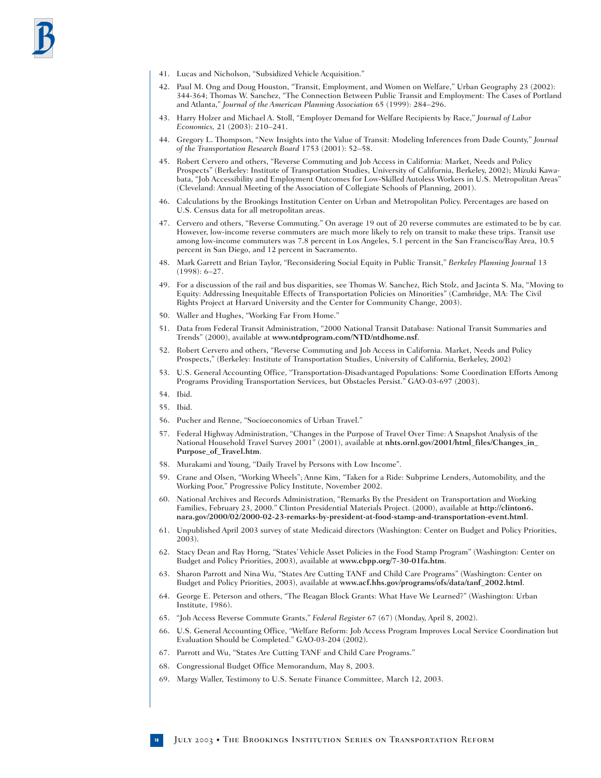- 41. Lucas and Nicholson, "Subsidized Vehicle Acquisition."
- 42. Paul M. Ong and Doug Houston, "Transit, Employment, and Women on Welfare," Urban Geography 23 (2002): 344-364; Thomas W. Sanchez, "The Connection Between Public Transit and Employment: The Cases of Portland and Atlanta," *Journal of the American Planning Association* 65 (1999): 284–296.
- 43. Harry Holzer and Michael A. Stoll, "Employer Demand for Welfare Recipients by Race," *Journal of Labor Economics,* 21 (2003): 210–241.
- 44. Gregory L. Thompson, "New Insights into the Value of Transit: Modeling Inferences from Dade County," *Journal of the Transportation Research Board* 1753 (2001): 52–58.
- 45. Robert Cervero and others, "Reverse Commuting and Job Access in California: Market, Needs and Policy Prospects" (Berkeley: Institute of Transportation Studies, University of California, Berkeley, 2002); Mizuki Kawabata, "Job Accessibility and Employment Outcomes for Low-Skilled Autoless Workers in U.S. Metropolitan Areas" (Cleveland: Annual Meeting of the Association of Collegiate Schools of Planning, 2001).
- 46. Calculations by the Brookings Institution Center on Urban and Metropolitan Policy. Percentages are based on U.S. Census data for all metropolitan areas.
- 47. Cervero and others, "Reverse Commuting." On average 19 out of 20 reverse commutes are estimated to be by car. However, low-income reverse commuters are much more likely to rely on transit to make these trips. Transit use among low-income commuters was 7.8 percent in Los Angeles, 5.1 percent in the San Francisco/Bay Area, 10.5 percent in San Diego, and 12 percent in Sacramento.
- 48. Mark Garrett and Brian Taylor, "Reconsidering Social Equity in Public Transit," *Berkeley Planning Journal* 13 (1998): 6–27.
- 49. For a discussion of the rail and bus disparities, see Thomas W. Sanchez, Rich Stolz, and Jacinta S. Ma, "Moving to Equity: Addressing Inequitable Effects of Transportation Policies on Minorities" (Cambridge, MA: The Civil Rights Project at Harvard University and the Center for Community Change, 2003).
- 50. Waller and Hughes, "Working Far From Home."
- 51. Data from Federal Transit Administration, "2000 National Transit Database: National Transit Summaries and Trends" (2000), available at **www.ntdprogram.com/NTD/ntdhome.nsf**.
- 52. Robert Cervero and others, "Reverse Commuting and Job Access in California. Market, Needs and Policy Prospects," (Berkeley: Institute of Transportation Studies, University of California, Berkeley, 2002)
- 53. U.S. General Accounting Office, "Transportation-Disadvantaged Populations: Some Coordination Efforts Among Programs Providing Transportation Services, but Obstacles Persist." GAO-03-697 (2003).
- 54. Ibid.
- 55. Ibid.
- 56. Pucher and Renne, "Socioeconomics of Urban Travel."
- 57. Federal Highway Administration, "Changes in the Purpose of Travel Over Time: A Snapshot Analysis of the National Household Travel Survey 2001" (2001), available at **nhts.ornl.gov/2001/html\_files/Changes\_in\_ Purpose\_of\_Travel.htm**.
- 58. Murakami and Young, "Daily Travel by Persons with Low Income".
- 59. Crane and Olsen, "Working Wheels"; Anne Kim, "Taken for a Ride: Subprime Lenders, Automobility, and the Working Poor," Progressive Policy Institute, November 2002.
- 60. National Archives and Records Administration, "Remarks By the President on Transportation and Working Families, February 23, 2000." Clinton Presidential Materials Project. (2000), available at **http://clinton6. nara.gov/2000/02/2000-02-23-remarks-by-president-at-food-stamp-and-transportation-event.html**.
- 61. Unpublished April 2003 survey of state Medicaid directors (Washington: Center on Budget and Policy Priorities, 2003).
- 62. Stacy Dean and Ray Horng, "States' Vehicle Asset Policies in the Food Stamp Program" (Washington: Center on Budget and Policy Priorities, 2003), available at **www.cbpp.org/7-30-01fa.htm**.
- 63. Sharon Parrott and Nina Wu, "States Are Cutting TANF and Child Care Programs" (Washington: Center on Budget and Policy Priorities, 2003), available at **www.acf.hhs.gov/programs/ofs/data/tanf\_2002.html**.
- 64. George E. Peterson and others, "The Reagan Block Grants: What Have We Learned?" (Washington: Urban Institute, 1986).
- 65. "Job Access Reverse Commute Grants," *Federal Register* 67 (67) (Monday, April 8, 2002).
- 66. U.S. General Accounting Office, "Welfare Reform: Job Access Program Improves Local Service Coordination but Evaluation Should be Completed." GAO-03-204 (2002).
- 67. Parrott and Wu, "States Are Cutting TANF and Child Care Programs."
- 68. Congressional Budget Office Memorandum, May 8, 2003.
- 69. Margy Waller, Testimony to U.S. Senate Finance Committee, March 12, 2003.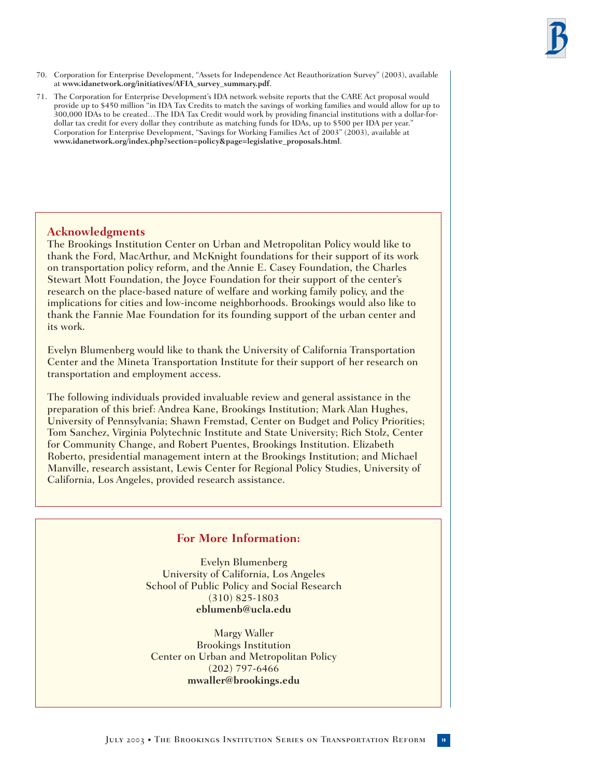- 70. Corporation for Enterprise Development, "Assets for Independence Act Reauthorization Survey" (2003), available at **www.idanetwork.org/initiatives/AFIA\_survey\_summary.pdf**.
- 71. The Corporation for Enterprise Development's IDA network website reports that the CARE Act proposal would provide up to \$450 million "in IDA Tax Credits to match the savings of working families and would allow for up to 300,000 IDAs to be created…The IDA Tax Credit would work by providing financial institutions with a dollar-fordollar tax credit for every dollar they contribute as matching funds for IDAs, up to \$500 per IDA per year." Corporation for Enterprise Development, "Savings for Working Families Act of 2003" (2003), available at **www.idanetwork.org/index.php?section=policy&page=legislative\_proposals.html**.

# **Acknowledgments**

The Brookings Institution Center on Urban and Metropolitan Policy would like to thank the Ford, MacArthur, and McKnight foundations for their support of its work on transportation policy reform, and the Annie E. Casey Foundation, the Charles Stewart Mott Foundation, the Joyce Foundation for their support of the center's research on the place-based nature of welfare and working family policy, and the implications for cities and low-income neighborhoods. Brookings would also like to thank the Fannie Mae Foundation for its founding support of the urban center and its work.

Evelyn Blumenberg would like to thank the University of California Transportation Center and the Mineta Transportation Institute for their support of her research on transportation and employment access.

The following individuals provided invaluable review and general assistance in the preparation of this brief: Andrea Kane, Brookings Institution; Mark Alan Hughes, University of Pennsylvania; Shawn Fremstad, Center on Budget and Policy Priorities; Tom Sanchez, Virginia Polytechnic Institute and State University; Rich Stolz, Center for Community Change, and Robert Puentes, Brookings Institution. Elizabeth Roberto, presidential management intern at the Brookings Institution; and Michael Manville, research assistant, Lewis Center for Regional Policy Studies, University of California, Los Angeles, provided research assistance.

# **For More Information:**

Evelyn Blumenberg University of California, Los Angeles School of Public Policy and Social Research (310) 825-1803 **eblumenb@ucla.edu**

Margy Waller Brookings Institution Center on Urban and Metropolitan Policy (202) 797-6466 **mwaller@brookings.edu**